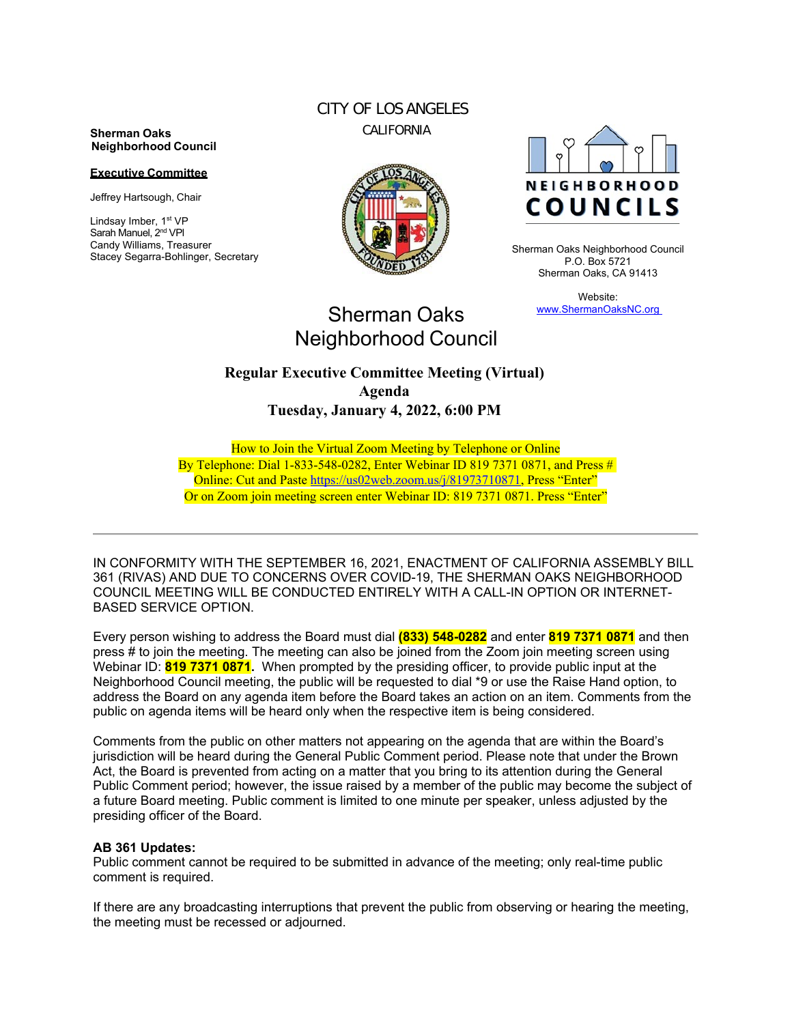#### **Sherman Oaks Neighborhood Council**

#### **Executive Committee**

Jeffrey Hartsough, Chair

Lindsay Imber, 1st VP Sarah Manuel, 2<sup>nd</sup> VPI Candy Williams, Treasurer Stacey Segarra-Bohlinger, Secretary

## CITY OF LOS ANGELES CALIFORNIA





Sherman Oaks Neighborhood Council P.O. Box 5721 Sherman Oaks, CA 91413

> Website: www.ShermanOaksNC.org

# Sherman Oaks Neighborhood Council

## **Regular Executive Committee Meeting (Virtual) Agenda Tuesday, January 4, 2022, 6:00 PM**

How to Join the Virtual Zoom Meeting by Telephone or Online By Telephone: Dial 1-833-548-0282, Enter Webinar ID 819 7371 0871, and Press  $\#$ Online: Cut and Paste https://us02web.zoom.us/j/81973710871, Press "Enter" Or on Zoom join meeting screen enter Webinar ID: 819 7371 0871. Press "Enter"

IN CONFORMITY WITH THE SEPTEMBER 16, 2021, ENACTMENT OF CALIFORNIA ASSEMBLY BILL 361 (RIVAS) AND DUE TO CONCERNS OVER COVID-19, THE SHERMAN OAKS NEIGHBORHOOD COUNCIL MEETING WILL BE CONDUCTED ENTIRELY WITH A CALL-IN OPTION OR INTERNET-BASED SERVICE OPTION.

Every person wishing to address the Board must dial **(833) 548-0282** and enter **819 7371 0871** and then press # to join the meeting. The meeting can also be joined from the Zoom join meeting screen using Webinar ID: **819 7371 0871.** When prompted by the presiding officer, to provide public input at the Neighborhood Council meeting, the public will be requested to dial \*9 or use the Raise Hand option, to address the Board on any agenda item before the Board takes an action on an item. Comments from the public on agenda items will be heard only when the respective item is being considered.

Comments from the public on other matters not appearing on the agenda that are within the Board's jurisdiction will be heard during the General Public Comment period. Please note that under the Brown Act, the Board is prevented from acting on a matter that you bring to its attention during the General Public Comment period; however, the issue raised by a member of the public may become the subject of a future Board meeting. Public comment is limited to one minute per speaker, unless adjusted by the presiding officer of the Board.

#### **AB 361 Updates:**

Public comment cannot be required to be submitted in advance of the meeting; only real-time public comment is required.

If there are any broadcasting interruptions that prevent the public from observing or hearing the meeting, the meeting must be recessed or adjourned.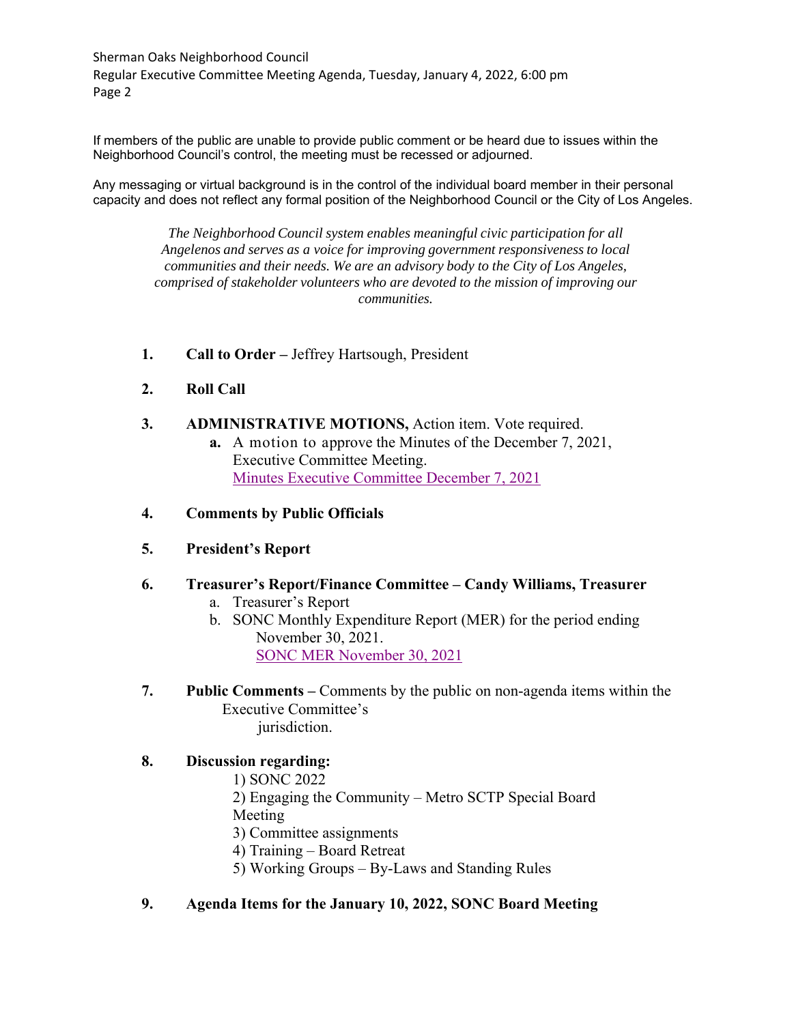Sherman Oaks Neighborhood Council Regular Executive Committee Meeting Agenda, Tuesday, January 4, 2022, 6:00 pm Page 2

If members of the public are unable to provide public comment or be heard due to issues within the Neighborhood Council's control, the meeting must be recessed or adjourned.

Any messaging or virtual background is in the control of the individual board member in their personal capacity and does not reflect any formal position of the Neighborhood Council or the City of Los Angeles.

*The Neighborhood Council system enables meaningful civic participation for all Angelenos and serves as a voice for improving government responsiveness to local communities and their needs. We are an advisory body to the City of Los Angeles, comprised of stakeholder volunteers who are devoted to the mission of improving our communities.*

- **1. Call to Order** Jeffrey Hartsough, President
- **2. Roll Call**
- **3. ADMINISTRATIVE MOTIONS,** Action item. Vote required.
	- **a.** A motion to approve the Minutes of the December 7, 2021, Executive Committee Meeting. Minutes Executive Committee December 7, 2021

### **4. Comments by Public Officials**

#### **5. President's Report**

- **6. Treasurer's Report/Finance Committee Candy Williams, Treasurer** 
	- a. Treasurer's Report
	- b. SONC Monthly Expenditure Report (MER) for the period ending November 30, 2021. SONC MER November 30, 2021

### **7. Public Comments –** Comments by the public on non-agenda items within the Executive Committee's jurisdiction.

## **8. Discussion regarding:**

- 1) SONC 2022
- 2) Engaging the Community Metro SCTP Special Board Meeting
- 3) Committee assignments
- 4) Training Board Retreat
- 5) Working Groups By-Laws and Standing Rules

#### **9. Agenda Items for the January 10, 2022, SONC Board Meeting**